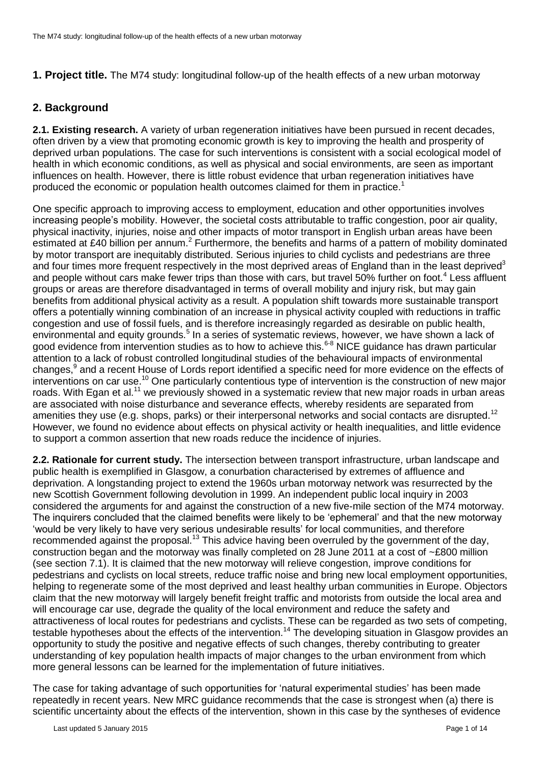## **2. Background**

**2.1. Existing research.** A variety of urban regeneration initiatives have been pursued in recent decades, often driven by a view that promoting economic growth is key to improving the health and prosperity of deprived urban populations. The case for such interventions is consistent with a social ecological model of health in which economic conditions, as well as physical and social environments, are seen as important influences on health. However, there is little robust evidence that urban regeneration initiatives have produced the economic or population health outcomes claimed for them in practice.<sup>1</sup>

One specific approach to improving access to employment, education and other opportunities involves increasing people's mobility. However, the societal costs attributable to traffic congestion, poor air quality, physical inactivity, injuries, noise and other impacts of motor transport in English urban areas have been estimated at £40 billion per annum.<sup>2</sup> Furthermore, the benefits and harms of a pattern of mobility dominated by motor transport are inequitably distributed. Serious injuries to child cyclists and pedestrians are three and four times more frequent respectively in the most deprived areas of England than in the least deprived<sup>3</sup> and people without cars make fewer trips than those with cars, but travel 50% further on foot.<sup>4</sup> Less affluent groups or areas are therefore disadvantaged in terms of overall mobility and injury risk, but may gain benefits from additional physical activity as a result. A population shift towards more sustainable transport offers a potentially winning combination of an increase in physical activity coupled with reductions in traffic congestion and use of fossil fuels, and is therefore increasingly regarded as desirable on public health, environmental and equity grounds.<sup>5</sup> In a series of systematic reviews, however, we have shown a lack of good evidence from intervention studies as to how to achieve this.<sup>6-8</sup> NICE guidance has drawn particular attention to a lack of robust controlled longitudinal studies of the behavioural impacts of environmental changes,<sup>9</sup> and a recent House of Lords report identified a specific need for more evidence on the effects of interventions on car use.<sup>10</sup> One particularly contentious type of intervention is the construction of new major roads. With Egan et al.<sup>11</sup> we previously showed in a systematic review that new major roads in urban areas are associated with noise disturbance and severance effects, whereby residents are separated from amenities they use (e.g. shops, parks) or their interpersonal networks and social contacts are disrupted.<sup>12</sup> However, we found no evidence about effects on physical activity or health inequalities, and little evidence to support a common assertion that new roads reduce the incidence of injuries.

**2.2. Rationale for current study.** The intersection between transport infrastructure, urban landscape and public health is exemplified in Glasgow, a conurbation characterised by extremes of affluence and deprivation. A longstanding project to extend the 1960s urban motorway network was resurrected by the new Scottish Government following devolution in 1999. An independent public local inquiry in 2003 considered the arguments for and against the construction of a new five-mile section of the M74 motorway. The inquirers concluded that the claimed benefits were likely to be 'ephemeral' and that the new motorway 'would be very likely to have very serious undesirable results' for local communities, and therefore recommended against the proposal.<sup>13</sup> This advice having been overruled by the government of the day, construction began and the motorway was finally completed on 28 June 2011 at a cost of ~£800 million (see section 7.1). It is claimed that the new motorway will relieve congestion, improve conditions for pedestrians and cyclists on local streets, reduce traffic noise and bring new local employment opportunities, helping to regenerate some of the most deprived and least healthy urban communities in Europe. Objectors claim that the new motorway will largely benefit freight traffic and motorists from outside the local area and will encourage car use, degrade the quality of the local environment and reduce the safety and attractiveness of local routes for pedestrians and cyclists. These can be regarded as two sets of competing, testable hypotheses about the effects of the intervention.<sup>14</sup> The developing situation in Glasgow provides an opportunity to study the positive and negative effects of such changes, thereby contributing to greater understanding of key population health impacts of major changes to the urban environment from which more general lessons can be learned for the implementation of future initiatives.

The case for taking advantage of such opportunities for 'natural experimental studies' has been made repeatedly in recent years. New MRC guidance recommends that the case is strongest when (a) there is scientific uncertainty about the effects of the intervention, shown in this case by the syntheses of evidence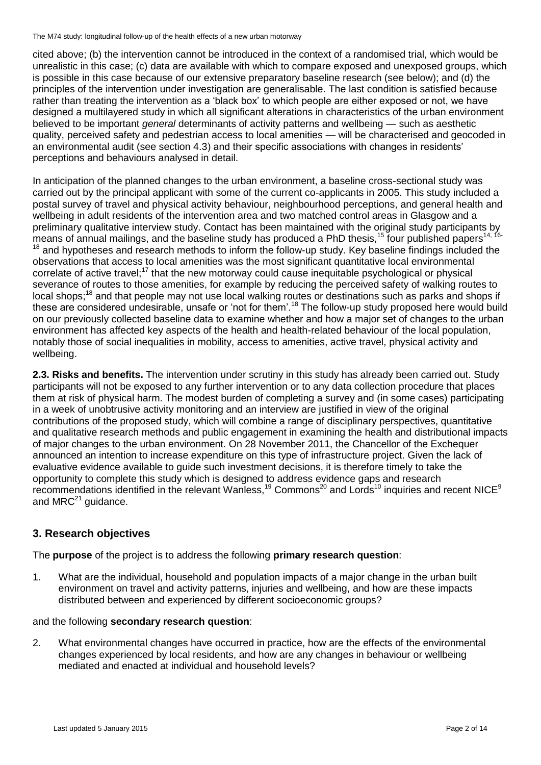cited above; (b) the intervention cannot be introduced in the context of a randomised trial, which would be unrealistic in this case; (c) data are available with which to compare exposed and unexposed groups, which is possible in this case because of our extensive preparatory baseline research (see below); and (d) the principles of the intervention under investigation are generalisable. The last condition is satisfied because rather than treating the intervention as a 'black box' to which people are either exposed or not, we have designed a multilayered study in which all significant alterations in characteristics of the urban environment believed to be important *general* determinants of activity patterns and wellbeing — such as aesthetic quality, perceived safety and pedestrian access to local amenities — will be characterised and geocoded in an environmental audit (see section 4.3) and their specific associations with changes in residents' perceptions and behaviours analysed in detail.

In anticipation of the planned changes to the urban environment, a baseline cross-sectional study was carried out by the principal applicant with some of the current co-applicants in 2005. This study included a postal survey of travel and physical activity behaviour, neighbourhood perceptions, and general health and wellbeing in adult residents of the intervention area and two matched control areas in Glasgow and a preliminary qualitative interview study. Contact has been maintained with the original study participants by means of annual mailings, and the baseline study has produced a PhD thesis,<sup>15</sup> four published papers<sup>14, 16-</sup> <sup>18</sup> and hypotheses and research methods to inform the follow-up study. Key baseline findings included the observations that access to local amenities was the most significant quantitative local environmental correlate of active travel;<sup>17</sup> that the new motorway could cause inequitable psychological or physical severance of routes to those amenities, for example by reducing the perceived safety of walking routes to local shops;<sup>18</sup> and that people may not use local walking routes or destinations such as parks and shops if these are considered undesirable, unsafe or 'not for them'.<sup>18</sup> The follow-up study proposed here would build on our previously collected baseline data to examine whether and how a major set of changes to the urban environment has affected key aspects of the health and health-related behaviour of the local population, notably those of social inequalities in mobility, access to amenities, active travel, physical activity and wellbeing.

**2.3. Risks and benefits.** The intervention under scrutiny in this study has already been carried out. Study participants will not be exposed to any further intervention or to any data collection procedure that places them at risk of physical harm. The modest burden of completing a survey and (in some cases) participating in a week of unobtrusive activity monitoring and an interview are justified in view of the original contributions of the proposed study, which will combine a range of disciplinary perspectives, quantitative and qualitative research methods and public engagement in examining the health and distributional impacts of major changes to the urban environment. On 28 November 2011, the Chancellor of the Exchequer announced an intention to increase expenditure on this type of infrastructure project. Given the lack of evaluative evidence available to guide such investment decisions, it is therefore timely to take the opportunity to complete this study which is designed to address evidence gaps and research recommendations identified in the relevant Wanless,<sup>19</sup> Commons<sup>20</sup> and Lords<sup>10</sup> inquiries and recent NICE<sup>9</sup> and  $MRC<sup>21</sup>$  guidance.

## **3. Research objectives**

The **purpose** of the project is to address the following **primary research question**:

1. What are the individual, household and population impacts of a major change in the urban built environment on travel and activity patterns, injuries and wellbeing, and how are these impacts distributed between and experienced by different socioeconomic groups?

### and the following **secondary research question**:

2. What environmental changes have occurred in practice, how are the effects of the environmental changes experienced by local residents, and how are any changes in behaviour or wellbeing mediated and enacted at individual and household levels?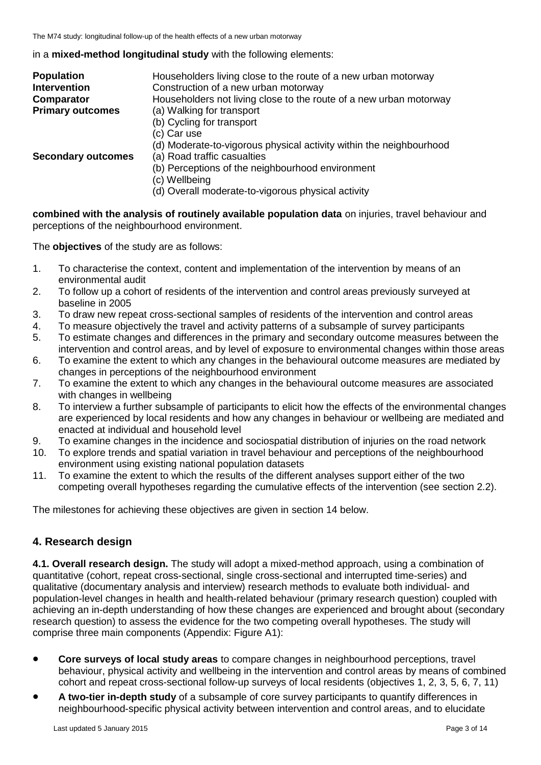in a **mixed-method longitudinal study** with the following elements:

| <b>Population</b>         | Householders living close to the route of a new urban motorway      |
|---------------------------|---------------------------------------------------------------------|
| <b>Intervention</b>       | Construction of a new urban motorway                                |
| Comparator                | Householders not living close to the route of a new urban motorway  |
| <b>Primary outcomes</b>   | (a) Walking for transport                                           |
|                           | (b) Cycling for transport                                           |
|                           | (c) Car use                                                         |
|                           | (d) Moderate-to-vigorous physical activity within the neighbourhood |
| <b>Secondary outcomes</b> | (a) Road traffic casualties                                         |
|                           | (b) Perceptions of the neighbourhood environment                    |
|                           | (c) Wellbeing                                                       |
|                           | (d) Overall moderate-to-vigorous physical activity                  |

**combined with the analysis of routinely available population data** on injuries, travel behaviour and perceptions of the neighbourhood environment.

The **objectives** of the study are as follows:

- 1. To characterise the context, content and implementation of the intervention by means of an environmental audit
- 2. To follow up a cohort of residents of the intervention and control areas previously surveyed at baseline in 2005
- 3. To draw new repeat cross-sectional samples of residents of the intervention and control areas
- 4. To measure objectively the travel and activity patterns of a subsample of survey participants
- 5. To estimate changes and differences in the primary and secondary outcome measures between the intervention and control areas, and by level of exposure to environmental changes within those areas
- 6. To examine the extent to which any changes in the behavioural outcome measures are mediated by changes in perceptions of the neighbourhood environment
- 7. To examine the extent to which any changes in the behavioural outcome measures are associated with changes in wellbeing
- 8. To interview a further subsample of participants to elicit how the effects of the environmental changes are experienced by local residents and how any changes in behaviour or wellbeing are mediated and enacted at individual and household level
- 9. To examine changes in the incidence and sociospatial distribution of injuries on the road network
- 10. To explore trends and spatial variation in travel behaviour and perceptions of the neighbourhood environment using existing national population datasets
- 11. To examine the extent to which the results of the different analyses support either of the two competing overall hypotheses regarding the cumulative effects of the intervention (see section 2.2).

The milestones for achieving these objectives are given in section 14 below.

## **4. Research design**

**4.1. Overall research design.** The study will adopt a mixed-method approach, using a combination of quantitative (cohort, repeat cross-sectional, single cross-sectional and interrupted time-series) and qualitative (documentary analysis and interview) research methods to evaluate both individual- and population-level changes in health and health-related behaviour (primary research question) coupled with achieving an in-depth understanding of how these changes are experienced and brought about (secondary research question) to assess the evidence for the two competing overall hypotheses. The study will comprise three main components (Appendix: Figure A1):

- **Core surveys of local study areas** to compare changes in neighbourhood perceptions, travel behaviour, physical activity and wellbeing in the intervention and control areas by means of combined cohort and repeat cross-sectional follow-up surveys of local residents (objectives 1, 2, 3, 5, 6, 7, 11)
- **A two-tier in-depth study** of a subsample of core survey participants to quantify differences in neighbourhood-specific physical activity between intervention and control areas, and to elucidate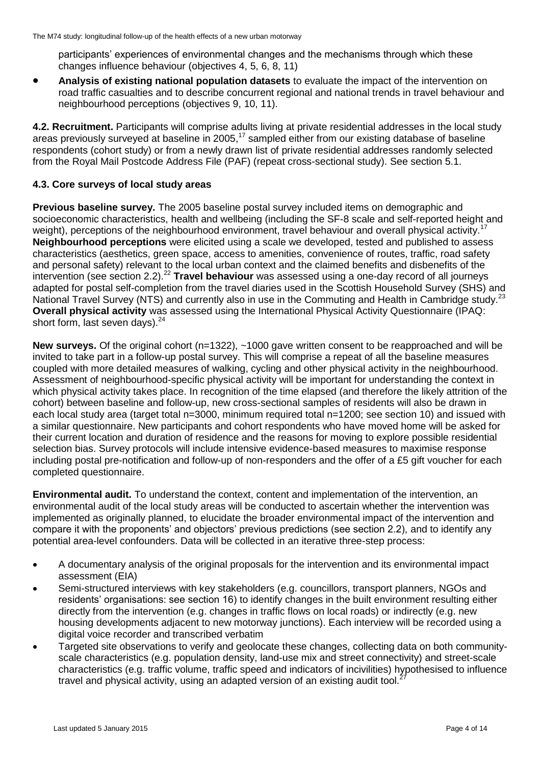participants' experiences of environmental changes and the mechanisms through which these changes influence behaviour (objectives 4, 5, 6, 8, 11)

 **Analysis of existing national population datasets** to evaluate the impact of the intervention on road traffic casualties and to describe concurrent regional and national trends in travel behaviour and neighbourhood perceptions (objectives 9, 10, 11).

**4.2. Recruitment.** Participants will comprise adults living at private residential addresses in the local study areas previously surveyed at baseline in 2005,<sup>17</sup> sampled either from our existing database of baseline respondents (cohort study) or from a newly drawn list of private residential addresses randomly selected from the Royal Mail Postcode Address File (PAF) (repeat cross-sectional study). See section 5.1.

### **4.3. Core surveys of local study areas**

**Previous baseline survey.** The 2005 baseline postal survey included items on demographic and socioeconomic characteristics, health and wellbeing (including the SF-8 scale and self-reported height and weight), perceptions of the neighbourhood environment, travel behaviour and overall physical activity.<sup>17</sup> **Neighbourhood perceptions** were elicited using a scale we developed, tested and published to assess characteristics (aesthetics, green space, access to amenities, convenience of routes, traffic, road safety and personal safety) relevant to the local urban context and the claimed benefits and disbenefits of the intervention (see section 2.2).<sup>22</sup> **Travel behaviour** was assessed using a one-day record of all journeys adapted for postal self-completion from the travel diaries used in the Scottish Household Survey (SHS) and National Travel Survey (NTS) and currently also in use in the Commuting and Health in Cambridge study.<sup>23</sup> **Overall physical activity** was assessed using the International Physical Activity Questionnaire (IPAQ: short form, last seven days).<sup>24</sup>

New surveys. Of the original cohort (n=1322), ~1000 gave written consent to be reapproached and will be invited to take part in a follow-up postal survey. This will comprise a repeat of all the baseline measures coupled with more detailed measures of walking, cycling and other physical activity in the neighbourhood. Assessment of neighbourhood-specific physical activity will be important for understanding the context in which physical activity takes place. In recognition of the time elapsed (and therefore the likely attrition of the cohort) between baseline and follow-up, new cross-sectional samples of residents will also be drawn in each local study area (target total n=3000, minimum required total n=1200; see section 10) and issued with a similar questionnaire. New participants and cohort respondents who have moved home will be asked for their current location and duration of residence and the reasons for moving to explore possible residential selection bias. Survey protocols will include intensive evidence-based measures to maximise response including postal pre-notification and follow-up of non-responders and the offer of a £5 gift voucher for each completed questionnaire.

**Environmental audit.** To understand the context, content and implementation of the intervention, an environmental audit of the local study areas will be conducted to ascertain whether the intervention was implemented as originally planned, to elucidate the broader environmental impact of the intervention and compare it with the proponents' and objectors' previous predictions (see section 2.2), and to identify any potential area-level confounders. Data will be collected in an iterative three-step process:

- A documentary analysis of the original proposals for the intervention and its environmental impact assessment (EIA)
- Semi-structured interviews with key stakeholders (e.g. councillors, transport planners, NGOs and residents' organisations: see section 16) to identify changes in the built environment resulting either directly from the intervention (e.g. changes in traffic flows on local roads) or indirectly (e.g. new housing developments adjacent to new motorway junctions). Each interview will be recorded using a digital voice recorder and transcribed verbatim
- Targeted site observations to verify and geolocate these changes, collecting data on both communityscale characteristics (e.g. population density, land-use mix and street connectivity) and street-scale characteristics (e.g. traffic volume, traffic speed and indicators of incivilities) hypothesised to influence travel and physical activity, using an adapted version of an existing audit tool.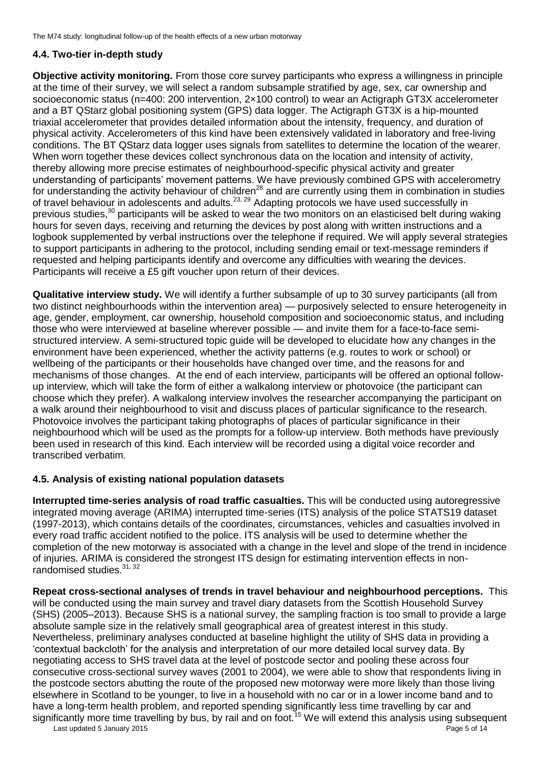## **4.4. Two-tier in-depth study**

**Objective activity monitoring.** From those core survey participants who express a willingness in principle at the time of their survey, we will select a random subsample stratified by age, sex, car ownership and socioeconomic status (n=400: 200 intervention, 2×100 control) to wear an Actigraph GT3X accelerometer and a BT QStarz global positioning system (GPS) data logger. The Actigraph GT3X is a hip-mounted triaxial accelerometer that provides detailed information about the intensity, frequency, and duration of physical activity. Accelerometers of this kind have been extensively validated in laboratory and free-living conditions. The BT QStarz data logger uses signals from satellites to determine the location of the wearer. When worn together these devices collect synchronous data on the location and intensity of activity, thereby allowing more precise estimates of neighbourhood-specific physical activity and greater understanding of participants' movement patterns. We have previously combined GPS with accelerometry for understanding the activity behaviour of children<sup>28</sup> and are currently using them in combination in studies of travel behaviour in adolescents and adults.<sup>23, 29</sup> Adapting protocols we have used successfully in previous studies,<sup>30</sup> participants will be asked to wear the two monitors on an elasticised belt during waking hours for seven days, receiving and returning the devices by post along with written instructions and a logbook supplemented by verbal instructions over the telephone if required. We will apply several strategies to support participants in adhering to the protocol, including sending email or text-message reminders if requested and helping participants identify and overcome any difficulties with wearing the devices. Participants will receive a £5 gift voucher upon return of their devices.

**Qualitative interview study.** We will identify a further subsample of up to 30 survey participants (all from two distinct neighbourhoods within the intervention area) — purposively selected to ensure heterogeneity in age, gender, employment, car ownership, household composition and socioeconomic status, and including those who were interviewed at baseline wherever possible — and invite them for a face-to-face semistructured interview. A semi-structured topic guide will be developed to elucidate how any changes in the environment have been experienced, whether the activity patterns (e.g. routes to work or school) or wellbeing of the participants or their households have changed over time, and the reasons for and mechanisms of those changes. At the end of each interview, participants will be offered an optional followup interview, which will take the form of either a walkalong interview or photovoice (the participant can choose which they prefer). A walkalong interview involves the researcher accompanying the participant on a walk around their neighbourhood to visit and discuss places of particular significance to the research. Photovoice involves the participant taking photographs of places of particular significance in their neighbourhood which will be used as the prompts for a follow-up interview. Both methods have previously been used in research of this kind. Each interview will be recorded using a digital voice recorder and transcribed verbatim.

### **4.5. Analysis of existing national population datasets**

**Interrupted time-series analysis of road traffic casualties.** This will be conducted using autoregressive integrated moving average (ARIMA) interrupted time-series (ITS) analysis of the police STATS19 dataset (1997-2013), which contains details of the coordinates, circumstances, vehicles and casualties involved in every road traffic accident notified to the police. ITS analysis will be used to determine whether the completion of the new motorway is associated with a change in the level and slope of the trend in incidence of injuries. ARIMA is considered the strongest ITS design for estimating intervention effects in nonrandomised studies. $31,32$ 

**Repeat cross-sectional analyses of trends in travel behaviour and neighbourhood perceptions.** This will be conducted using the main survey and travel diary datasets from the Scottish Household Survey (SHS) (2005–2013). Because SHS is a national survey, the sampling fraction is too small to provide a large absolute sample size in the relatively small geographical area of greatest interest in this study. Nevertheless, preliminary analyses conducted at baseline highlight the utility of SHS data in providing a 'contextual backcloth' for the analysis and interpretation of our more detailed local survey data. By negotiating access to SHS travel data at the level of postcode sector and pooling these across four consecutive cross-sectional survey waves (2001 to 2004), we were able to show that respondents living in the postcode sectors abutting the route of the proposed new motorway were more likely than those living elsewhere in Scotland to be younger, to live in a household with no car or in a lower income band and to have a long-term health problem, and reported spending significantly less time travelling by car and significantly more time travelling by bus, by rail and on foot.<sup>15</sup> We will extend this analysis using subsequent

Last updated 5 January 2015 Page 5 of 14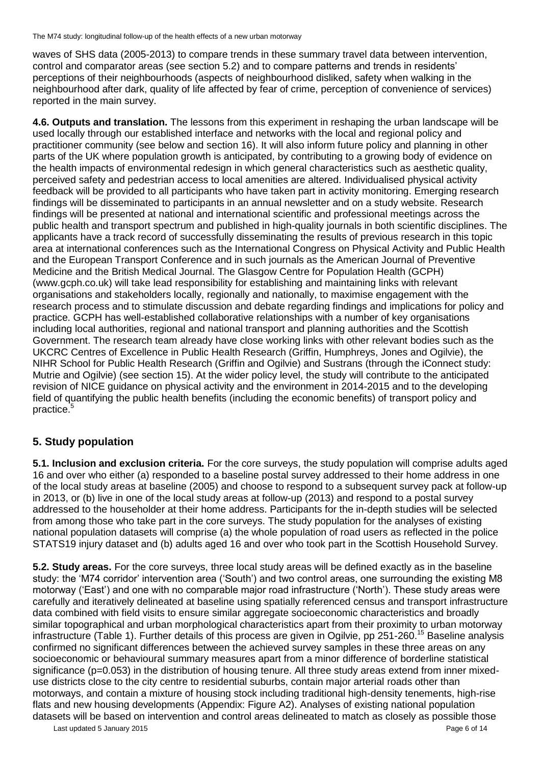waves of SHS data (2005-2013) to compare trends in these summary travel data between intervention, control and comparator areas (see section 5.2) and to compare patterns and trends in residents' perceptions of their neighbourhoods (aspects of neighbourhood disliked, safety when walking in the neighbourhood after dark, quality of life affected by fear of crime, perception of convenience of services) reported in the main survey.

**4.6. Outputs and translation.** The lessons from this experiment in reshaping the urban landscape will be used locally through our established interface and networks with the local and regional policy and practitioner community (see below and section 16). It will also inform future policy and planning in other parts of the UK where population growth is anticipated, by contributing to a growing body of evidence on the health impacts of environmental redesign in which general characteristics such as aesthetic quality, perceived safety and pedestrian access to local amenities are altered. Individualised physical activity feedback will be provided to all participants who have taken part in activity monitoring. Emerging research findings will be disseminated to participants in an annual newsletter and on a study website. Research findings will be presented at national and international scientific and professional meetings across the public health and transport spectrum and published in high-quality journals in both scientific disciplines. The applicants have a track record of successfully disseminating the results of previous research in this topic area at international conferences such as the International Congress on Physical Activity and Public Health and the European Transport Conference and in such journals as the American Journal of Preventive Medicine and the British Medical Journal. The Glasgow Centre for Population Health (GCPH) (www.gcph.co.uk) will take lead responsibility for establishing and maintaining links with relevant organisations and stakeholders locally, regionally and nationally, to maximise engagement with the research process and to stimulate discussion and debate regarding findings and implications for policy and practice. GCPH has well-established collaborative relationships with a number of key organisations including local authorities, regional and national transport and planning authorities and the Scottish Government. The research team already have close working links with other relevant bodies such as the UKCRC Centres of Excellence in Public Health Research (Griffin, Humphreys, Jones and Ogilvie), the NIHR School for Public Health Research (Griffin and Ogilvie) and Sustrans (through the iConnect study: Mutrie and Ogilvie) (see section 15). At the wider policy level, the study will contribute to the anticipated revision of NICE guidance on physical activity and the environment in 2014-2015 and to the developing field of quantifying the public health benefits (including the economic benefits) of transport policy and practice. 5

## **5. Study population**

**5.1. Inclusion and exclusion criteria.** For the core surveys, the study population will comprise adults aged 16 and over who either (a) responded to a baseline postal survey addressed to their home address in one of the local study areas at baseline (2005) and choose to respond to a subsequent survey pack at follow-up in 2013, or (b) live in one of the local study areas at follow-up (2013) and respond to a postal survey addressed to the householder at their home address. Participants for the in-depth studies will be selected from among those who take part in the core surveys. The study population for the analyses of existing national population datasets will comprise (a) the whole population of road users as reflected in the police STATS19 injury dataset and (b) adults aged 16 and over who took part in the Scottish Household Survey.

**5.2. Study areas.** For the core surveys, three local study areas will be defined exactly as in the baseline study: the 'M74 corridor' intervention area ('South') and two control areas, one surrounding the existing M8 motorway ('East') and one with no comparable major road infrastructure ('North'). These study areas were carefully and iteratively delineated at baseline using spatially referenced census and transport infrastructure data combined with field visits to ensure similar aggregate socioeconomic characteristics and broadly similar topographical and urban morphological characteristics apart from their proximity to urban motorway infrastructure (Table 1). Further details of this process are given in Ogilvie, pp 251-260.<sup>15</sup> Baseline analysis confirmed no significant differences between the achieved survey samples in these three areas on any socioeconomic or behavioural summary measures apart from a minor difference of borderline statistical significance (p=0.053) in the distribution of housing tenure. All three study areas extend from inner mixeduse districts close to the city centre to residential suburbs, contain major arterial roads other than motorways, and contain a mixture of housing stock including traditional high-density tenements, high-rise flats and new housing developments (Appendix: Figure A2). Analyses of existing national population datasets will be based on intervention and control areas delineated to match as closely as possible those

Last updated 5 January 2015 Page 6 of 14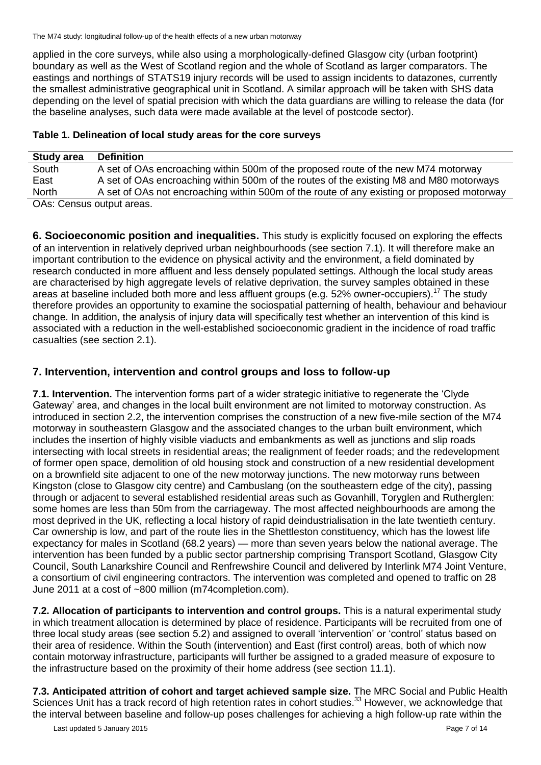applied in the core surveys, while also using a morphologically-defined Glasgow city (urban footprint) boundary as well as the West of Scotland region and the whole of Scotland as larger comparators. The eastings and northings of STATS19 injury records will be used to assign incidents to datazones, currently the smallest administrative geographical unit in Scotland. A similar approach will be taken with SHS data depending on the level of spatial precision with which the data guardians are willing to release the data (for the baseline analyses, such data were made available at the level of postcode sector).

| Table 1. Delineation of local study areas for the core surveys |  |
|----------------------------------------------------------------|--|
|                                                                |  |

| <b>Study area</b>        | <b>Definition</b>                                                                          |
|--------------------------|--------------------------------------------------------------------------------------------|
| South                    | A set of OAs encroaching within 500m of the proposed route of the new M74 motorway         |
| East                     | A set of OAs encroaching within 500m of the routes of the existing M8 and M80 motorways    |
| <b>North</b>             | A set of OAs not encroaching within 500m of the route of any existing or proposed motorway |
| OAC: Cancus Output arage |                                                                                            |

OAs: Census output areas.

**6. Socioeconomic position and inequalities.** This study is explicitly focused on exploring the effects of an intervention in relatively deprived urban neighbourhoods (see section 7.1). It will therefore make an important contribution to the evidence on physical activity and the environment, a field dominated by research conducted in more affluent and less densely populated settings. Although the local study areas are characterised by high aggregate levels of relative deprivation, the survey samples obtained in these areas at baseline included both more and less affluent groups (e.g. 52% owner-occupiers).<sup>17</sup> The study therefore provides an opportunity to examine the sociospatial patterning of health, behaviour and behaviour change. In addition, the analysis of injury data will specifically test whether an intervention of this kind is associated with a reduction in the well-established socioeconomic gradient in the incidence of road traffic casualties (see section 2.1).

## **7. Intervention, intervention and control groups and loss to follow-up**

**7.1. Intervention.** The intervention forms part of a wider strategic initiative to regenerate the 'Clyde Gateway' area, and changes in the local built environment are not limited to motorway construction. As introduced in section 2.2, the intervention comprises the construction of a new five-mile section of the M74 motorway in southeastern Glasgow and the associated changes to the urban built environment, which includes the insertion of highly visible viaducts and embankments as well as junctions and slip roads intersecting with local streets in residential areas; the realignment of feeder roads; and the redevelopment of former open space, demolition of old housing stock and construction of a new residential development on a brownfield site adjacent to one of the new motorway junctions. The new motorway runs between Kingston (close to Glasgow city centre) and Cambuslang (on the southeastern edge of the city), passing through or adjacent to several established residential areas such as Govanhill, Toryglen and Rutherglen: some homes are less than 50m from the carriageway. The most affected neighbourhoods are among the most deprived in the UK, reflecting a local history of rapid deindustrialisation in the late twentieth century. Car ownership is low, and part of the route lies in the Shettleston constituency, which has the lowest life expectancy for males in Scotland (68.2 years) — more than seven years below the national average. The intervention has been funded by a public sector partnership comprising Transport Scotland, Glasgow City Council, South Lanarkshire Council and Renfrewshire Council and delivered by Interlink M74 Joint Venture, a consortium of civil engineering contractors. The intervention was completed and opened to traffic on 28 June 2011 at a cost of ~800 million (m74completion.com).

**7.2. Allocation of participants to intervention and control groups.** This is a natural experimental study in which treatment allocation is determined by place of residence. Participants will be recruited from one of three local study areas (see section 5.2) and assigned to overall 'intervention' or 'control' status based on their area of residence. Within the South (intervention) and East (first control) areas, both of which now contain motorway infrastructure, participants will further be assigned to a graded measure of exposure to the infrastructure based on the proximity of their home address (see section 11.1).

**7.3. Anticipated attrition of cohort and target achieved sample size.** The MRC Social and Public Health Sciences Unit has a track record of high retention rates in cohort studies.<sup>33</sup> However, we acknowledge that the interval between baseline and follow-up poses challenges for achieving a high follow-up rate within the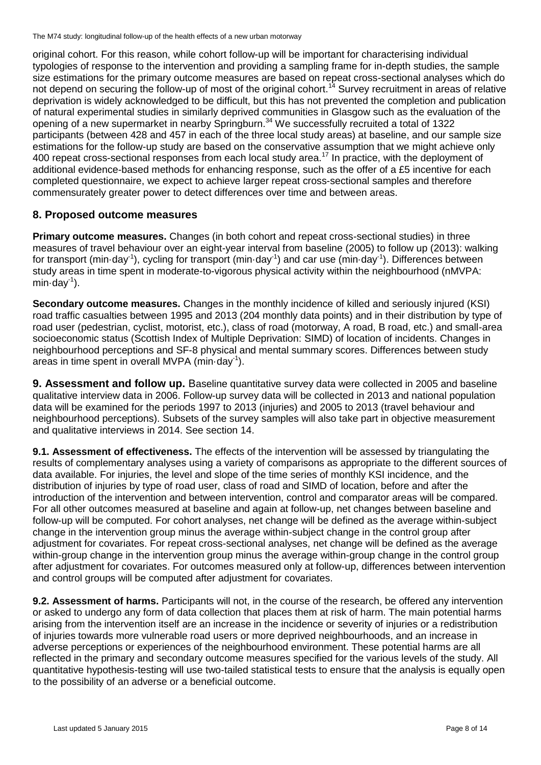original cohort. For this reason, while cohort follow-up will be important for characterising individual typologies of response to the intervention and providing a sampling frame for in-depth studies, the sample size estimations for the primary outcome measures are based on repeat cross-sectional analyses which do not depend on securing the follow-up of most of the original cohort.<sup>14</sup> Survey recruitment in areas of relative deprivation is widely acknowledged to be difficult, but this has not prevented the completion and publication of natural experimental studies in similarly deprived communities in Glasgow such as the evaluation of the opening of a new supermarket in nearby Springburn.<sup>34</sup> We successfully recruited a total of 1322 participants (between 428 and 457 in each of the three local study areas) at baseline, and our sample size estimations for the follow-up study are based on the conservative assumption that we might achieve only 400 repeat cross-sectional responses from each local study area.<sup>17</sup> In practice, with the deployment of additional evidence-based methods for enhancing response, such as the offer of a £5 incentive for each completed questionnaire, we expect to achieve larger repeat cross-sectional samples and therefore commensurately greater power to detect differences over time and between areas.

### **8. Proposed outcome measures**

**Primary outcome measures.** Changes (in both cohort and repeat cross-sectional studies) in three measures of travel behaviour over an eight-year interval from baseline (2005) to follow up (2013): walking for transport (min·day<sup>-1</sup>), cycling for transport (min·day<sup>-1</sup>) and car use (min·day<sup>-1</sup>). Differences between study areas in time spent in moderate-to-vigorous physical activity within the neighbourhood (nMVPA:  $min\cdot day^{-1}$ ).

**Secondary outcome measures.** Changes in the monthly incidence of killed and seriously injured (KSI) road traffic casualties between 1995 and 2013 (204 monthly data points) and in their distribution by type of road user (pedestrian, cyclist, motorist, etc.), class of road (motorway, A road, B road, etc.) and small-area socioeconomic status (Scottish Index of Multiple Deprivation: SIMD) of location of incidents. Changes in neighbourhood perceptions and SF-8 physical and mental summary scores. Differences between study areas in time spent in overall MVPA (min $\cdot$ day<sup>-1</sup>).

**9. Assessment and follow up.** Baseline quantitative survey data were collected in 2005 and baseline qualitative interview data in 2006. Follow-up survey data will be collected in 2013 and national population data will be examined for the periods 1997 to 2013 (injuries) and 2005 to 2013 (travel behaviour and neighbourhood perceptions). Subsets of the survey samples will also take part in objective measurement and qualitative interviews in 2014. See section 14.

**9.1. Assessment of effectiveness.** The effects of the intervention will be assessed by triangulating the results of complementary analyses using a variety of comparisons as appropriate to the different sources of data available. For injuries, the level and slope of the time series of monthly KSI incidence, and the distribution of injuries by type of road user, class of road and SIMD of location, before and after the introduction of the intervention and between intervention, control and comparator areas will be compared. For all other outcomes measured at baseline and again at follow-up, net changes between baseline and follow-up will be computed. For cohort analyses, net change will be defined as the average within-subject change in the intervention group minus the average within-subject change in the control group after adjustment for covariates. For repeat cross-sectional analyses, net change will be defined as the average within-group change in the intervention group minus the average within-group change in the control group after adjustment for covariates. For outcomes measured only at follow-up, differences between intervention and control groups will be computed after adjustment for covariates.

**9.2. Assessment of harms.** Participants will not, in the course of the research, be offered any intervention or asked to undergo any form of data collection that places them at risk of harm. The main potential harms arising from the intervention itself are an increase in the incidence or severity of injuries or a redistribution of injuries towards more vulnerable road users or more deprived neighbourhoods, and an increase in adverse perceptions or experiences of the neighbourhood environment. These potential harms are all reflected in the primary and secondary outcome measures specified for the various levels of the study. All quantitative hypothesis-testing will use two-tailed statistical tests to ensure that the analysis is equally open to the possibility of an adverse or a beneficial outcome.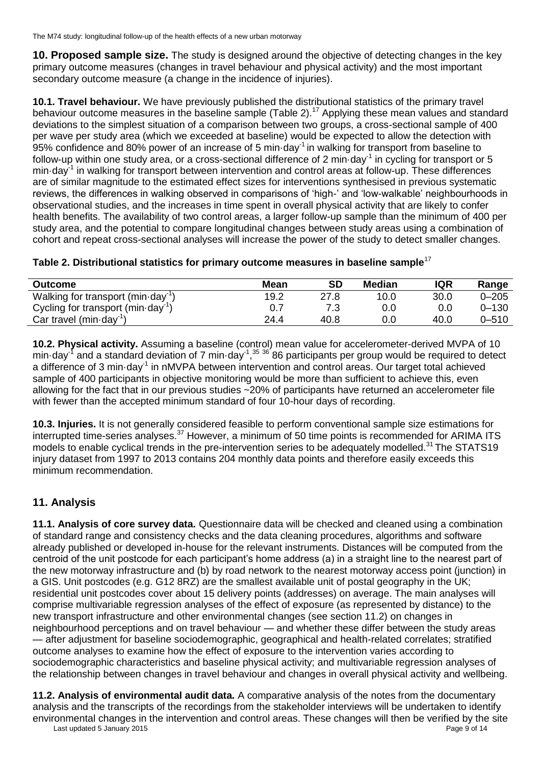**10. Proposed sample size.** The study is designed around the objective of detecting changes in the key primary outcome measures (changes in travel behaviour and physical activity) and the most important secondary outcome measure (a change in the incidence of injuries).

**10.1. Travel behaviour.** We have previously published the distributional statistics of the primary travel behaviour outcome measures in the baseline sample (Table 2).<sup>17</sup> Applying these mean values and standard deviations to the simplest situation of a comparison between two groups, a cross-sectional sample of 400 per wave per study area (which we exceeded at baseline) would be expected to allow the detection with 95% confidence and 80% power of an increase of 5 min·day-1 in walking for transport from baseline to follow-up within one study area, or a cross-sectional difference of 2 min·day<sup>-1</sup> in cycling for transport or 5 min·day<sup>-1</sup> in walking for transport between intervention and control areas at follow-up. These differences are of similar magnitude to the estimated effect sizes for interventions synthesised in previous systematic reviews, the differences in walking observed in comparisons of 'high-' and 'low-walkable' neighbourhoods in observational studies, and the increases in time spent in overall physical activity that are likely to confer health benefits. The availability of two control areas, a larger follow-up sample than the minimum of 400 per study area, and the potential to compare longitudinal changes between study areas using a combination of cohort and repeat cross-sectional analyses will increase the power of the study to detect smaller changes.

| Table 2. Distributional statistics for primary outcome measures in baseline sample <sup>17</sup> |
|--------------------------------------------------------------------------------------------------|
|--------------------------------------------------------------------------------------------------|

| <b>Outcome</b>                                         | Mean | SD   | <b>Median</b> | <b>IQR</b> | Range     |
|--------------------------------------------------------|------|------|---------------|------------|-----------|
| Walking for transport (min-day <sup>-11</sup> )        | 19.2 | 27.8 | 10.0          | 30.0       | $0 - 205$ |
| Cycling for transport (min $\cdot$ day <sup>-1</sup> ) |      |      | 0.0           | 0.0        | $0 - 130$ |
| Car travel (min $\cdot$ day <sup>-1</sup> )            | 24.4 | 40.8 | 0.0           | 40.0       | $0 - 510$ |

**10.2. Physical activity.** Assuming a baseline (control) mean value for accelerometer-derived MVPA of 10 min·day<sup>-1</sup> and a standard deviation of 7 min·day<sup>-1</sup>,<sup>35-36</sup> 86 participants per group would be required to detect a difference of 3 min·day<sup>-1</sup> in nMVPA between intervention and control areas. Our target total achieved sample of 400 participants in objective monitoring would be more than sufficient to achieve this, even allowing for the fact that in our previous studies ~20% of participants have returned an accelerometer file with fewer than the accepted minimum standard of four 10-hour days of recording.

**10.3. Injuries.** It is not generally considered feasible to perform conventional sample size estimations for interrupted time-series analyses.<sup>37</sup> However, a minimum of 50 time points is recommended for ARIMA ITS models to enable cyclical trends in the pre-intervention series to be adequately modelled.<sup>31</sup> The STATS19 injury dataset from 1997 to 2013 contains 204 monthly data points and therefore easily exceeds this minimum recommendation.

## **11. Analysis**

**11.1. Analysis of core survey data.** Questionnaire data will be checked and cleaned using a combination of standard range and consistency checks and the data cleaning procedures, algorithms and software already published or developed in-house for the relevant instruments. Distances will be computed from the centroid of the unit postcode for each participant's home address (a) in a straight line to the nearest part of the new motorway infrastructure and (b) by road network to the nearest motorway access point (junction) in a GIS. Unit postcodes (e.g. G12 8RZ) are the smallest available unit of postal geography in the UK; residential unit postcodes cover about 15 delivery points (addresses) on average. The main analyses will comprise multivariable regression analyses of the effect of exposure (as represented by distance) to the new transport infrastructure and other environmental changes (see section 11.2) on changes in neighbourhood perceptions and on travel behaviour — and whether these differ between the study areas — after adjustment for baseline sociodemographic, geographical and health-related correlates; stratified outcome analyses to examine how the effect of exposure to the intervention varies according to sociodemographic characteristics and baseline physical activity; and multivariable regression analyses of the relationship between changes in travel behaviour and changes in overall physical activity and wellbeing.

Last updated 5 January 2015 Page 9 of 14 **11.2. Analysis of environmental audit data.** A comparative analysis of the notes from the documentary analysis and the transcripts of the recordings from the stakeholder interviews will be undertaken to identify environmental changes in the intervention and control areas. These changes will then be verified by the site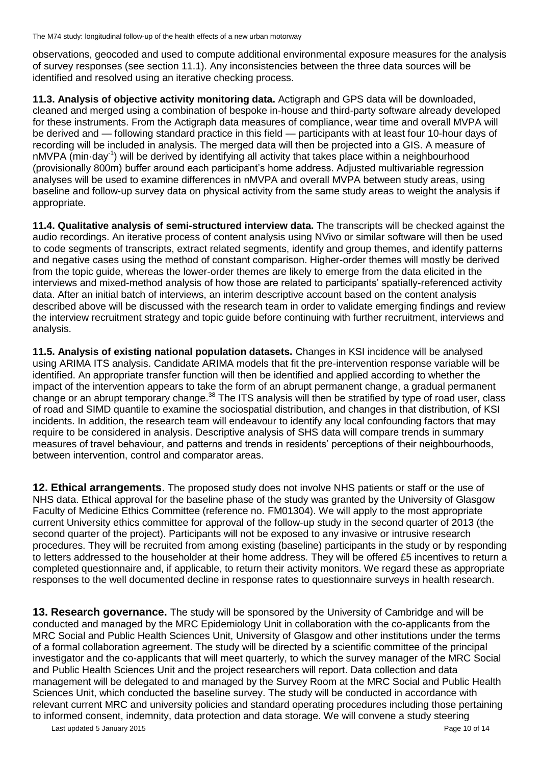observations, geocoded and used to compute additional environmental exposure measures for the analysis of survey responses (see section 11.1). Any inconsistencies between the three data sources will be identified and resolved using an iterative checking process.

**11.3. Analysis of objective activity monitoring data.** Actigraph and GPS data will be downloaded, cleaned and merged using a combination of bespoke in-house and third-party software already developed for these instruments. From the Actigraph data measures of compliance, wear time and overall MVPA will be derived and — following standard practice in this field — participants with at least four 10-hour days of recording will be included in analysis. The merged data will then be projected into a GIS. A measure of nMVPA (min·day<sup>-1</sup>) will be derived by identifying all activity that takes place within a neighbourhood (provisionally 800m) buffer around each participant's home address. Adjusted multivariable regression analyses will be used to examine differences in nMVPA and overall MVPA between study areas, using baseline and follow-up survey data on physical activity from the same study areas to weight the analysis if appropriate.

**11.4. Qualitative analysis of semi-structured interview data.** The transcripts will be checked against the audio recordings. An iterative process of content analysis using NVivo or similar software will then be used to code segments of transcripts, extract related segments, identify and group themes, and identify patterns and negative cases using the method of constant comparison. Higher-order themes will mostly be derived from the topic guide, whereas the lower-order themes are likely to emerge from the data elicited in the interviews and mixed-method analysis of how those are related to participants' spatially-referenced activity data. After an initial batch of interviews, an interim descriptive account based on the content analysis described above will be discussed with the research team in order to validate emerging findings and review the interview recruitment strategy and topic guide before continuing with further recruitment, interviews and analysis.

**11.5. Analysis of existing national population datasets.** Changes in KSI incidence will be analysed using ARIMA ITS analysis. Candidate ARIMA models that fit the pre-intervention response variable will be identified. An appropriate transfer function will then be identified and applied according to whether the impact of the intervention appears to take the form of an abrupt permanent change, a gradual permanent change or an abrupt temporary change.<sup>38</sup> The ITS analysis will then be stratified by type of road user, class of road and SIMD quantile to examine the sociospatial distribution, and changes in that distribution, of KSI incidents. In addition, the research team will endeavour to identify any local confounding factors that may require to be considered in analysis. Descriptive analysis of SHS data will compare trends in summary measures of travel behaviour, and patterns and trends in residents' perceptions of their neighbourhoods, between intervention, control and comparator areas.

**12. Ethical arrangements**. The proposed study does not involve NHS patients or staff or the use of NHS data. Ethical approval for the baseline phase of the study was granted by the University of Glasgow Faculty of Medicine Ethics Committee (reference no. FM01304). We will apply to the most appropriate current University ethics committee for approval of the follow-up study in the second quarter of 2013 (the second quarter of the project). Participants will not be exposed to any invasive or intrusive research procedures. They will be recruited from among existing (baseline) participants in the study or by responding to letters addressed to the householder at their home address. They will be offered £5 incentives to return a completed questionnaire and, if applicable, to return their activity monitors. We regard these as appropriate responses to the well documented decline in response rates to questionnaire surveys in health research.

**13. Research governance.** The study will be sponsored by the University of Cambridge and will be conducted and managed by the MRC Epidemiology Unit in collaboration with the co-applicants from the MRC Social and Public Health Sciences Unit, University of Glasgow and other institutions under the terms of a formal collaboration agreement. The study will be directed by a scientific committee of the principal investigator and the co-applicants that will meet quarterly, to which the survey manager of the MRC Social and Public Health Sciences Unit and the project researchers will report. Data collection and data management will be delegated to and managed by the Survey Room at the MRC Social and Public Health Sciences Unit, which conducted the baseline survey. The study will be conducted in accordance with relevant current MRC and university policies and standard operating procedures including those pertaining to informed consent, indemnity, data protection and data storage. We will convene a study steering

Last updated 5 January 2015 **Page 10 of 14** and the set of the set of the set of the page 10 of 14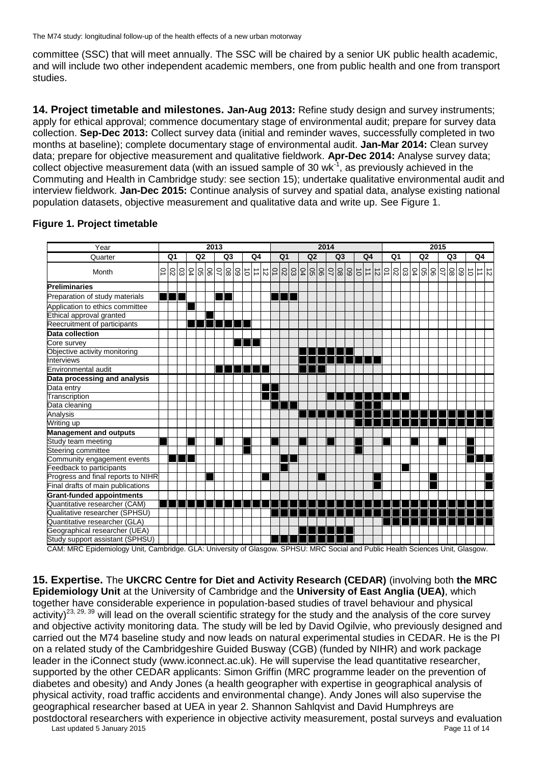committee (SSC) that will meet annually. The SSC will be chaired by a senior UK public health academic, and will include two other independent academic members, one from public health and one from transport studies.

**14. Project timetable and milestones. Jan-Aug 2013:** Refine study design and survey instruments; apply for ethical approval; commence documentary stage of environmental audit; prepare for survey data collection. **Sep-Dec 2013:** Collect survey data (initial and reminder waves, successfully completed in two months at baseline); complete documentary stage of environmental audit. **Jan-Mar 2014:** Clean survey data; prepare for objective measurement and qualitative fieldwork. **Apr-Dec 2014:** Analyse survey data; collect objective measurement data (with an issued sample of 30 wk $^{-1}$ , as previously achieved in the Commuting and Health in Cambridge study: see section 15); undertake qualitative environmental audit and interview fieldwork. **Jan-Dec 2015:** Continue analysis of survey and spatial data, analyse existing national population datasets, objective measurement and qualitative data and write up. See Figure 1.

| Year                                                                                                                                                    | 2013                 |                |    |        |  |  |    |  |        |                |                      |  | 2014 |  |  |                |  |                       |                |  |                |                      |               |                |    | 2015            |               |                          |  |    |  |       |  |           |  |    |
|---------------------------------------------------------------------------------------------------------------------------------------------------------|----------------------|----------------|----|--------|--|--|----|--|--------|----------------|----------------------|--|------|--|--|----------------|--|-----------------------|----------------|--|----------------|----------------------|---------------|----------------|----|-----------------|---------------|--------------------------|--|----|--|-------|--|-----------|--|----|
| Quarter                                                                                                                                                 | Q <sub>2</sub><br>Q1 |                |    | Q3     |  |  | Q4 |  |        | Q <sub>1</sub> |                      |  | Q2   |  |  | Q <sub>3</sub> |  |                       | Q <sub>4</sub> |  | Q <sub>1</sub> |                      |               | Q <sub>2</sub> |    |                 | Q3            |                          |  | Q4 |  |       |  |           |  |    |
| Month                                                                                                                                                   | Ğ                    | $\overline{0}$ | 03 | 04     |  |  |    |  | 889885 |                | $\overrightarrow{=}$ |  |      |  |  |                |  | 의리임  임  임  임  임  임  임 |                |  |                | $\overrightarrow{c}$ | $\frac{1}{2}$ |                | 01 | $\overline{0}2$ | $\frac{5}{2}$ |                          |  |    |  | 88998 |  | $\vec{c}$ |  | コロ |
| <b>Preliminaries</b>                                                                                                                                    |                      |                |    |        |  |  |    |  |        |                |                      |  |      |  |  |                |  |                       |                |  |                |                      |               |                |    |                 |               |                          |  |    |  |       |  |           |  |    |
| Preparation of study materials                                                                                                                          |                      |                | T  |        |  |  |    |  |        |                |                      |  |      |  |  |                |  |                       |                |  |                |                      |               |                |    |                 |               |                          |  |    |  |       |  |           |  |    |
| Application to ethics committee                                                                                                                         |                      |                |    |        |  |  |    |  |        |                |                      |  |      |  |  |                |  |                       |                |  |                |                      |               |                |    |                 |               |                          |  |    |  |       |  |           |  |    |
| Ethical approval granted                                                                                                                                |                      |                |    |        |  |  |    |  |        |                |                      |  |      |  |  |                |  |                       |                |  |                |                      |               |                |    |                 |               |                          |  |    |  |       |  |           |  |    |
| Reecruitment of participants                                                                                                                            |                      |                |    |        |  |  |    |  |        |                |                      |  |      |  |  |                |  |                       |                |  |                |                      |               |                |    |                 |               |                          |  |    |  |       |  |           |  |    |
| Data collection                                                                                                                                         |                      |                |    |        |  |  |    |  |        |                |                      |  |      |  |  |                |  |                       |                |  |                |                      |               |                |    |                 |               |                          |  |    |  |       |  |           |  |    |
| Core survey                                                                                                                                             |                      |                |    |        |  |  |    |  |        |                |                      |  |      |  |  |                |  |                       |                |  |                |                      |               |                |    |                 |               |                          |  |    |  |       |  |           |  |    |
| Objective activity monitoring                                                                                                                           |                      |                |    |        |  |  |    |  |        |                |                      |  |      |  |  |                |  |                       |                |  |                |                      |               |                |    |                 |               |                          |  |    |  |       |  |           |  |    |
| Interviews                                                                                                                                              |                      |                |    |        |  |  |    |  |        |                |                      |  |      |  |  |                |  |                       |                |  |                |                      |               |                |    |                 |               |                          |  |    |  |       |  |           |  |    |
| Environmental audit                                                                                                                                     |                      |                |    |        |  |  |    |  |        |                |                      |  |      |  |  |                |  |                       |                |  |                |                      |               |                |    |                 |               |                          |  |    |  |       |  |           |  |    |
| Data processing and analysis                                                                                                                            |                      |                |    |        |  |  |    |  |        |                |                      |  |      |  |  |                |  |                       |                |  |                |                      |               |                |    |                 |               |                          |  |    |  |       |  |           |  |    |
| Data entry                                                                                                                                              |                      |                |    |        |  |  |    |  |        |                |                      |  |      |  |  |                |  |                       |                |  |                |                      |               |                |    |                 |               |                          |  |    |  |       |  |           |  |    |
| Transcription                                                                                                                                           |                      |                |    |        |  |  |    |  |        |                |                      |  |      |  |  |                |  |                       |                |  |                |                      |               |                |    |                 |               |                          |  |    |  |       |  |           |  |    |
| Data cleaning                                                                                                                                           |                      |                |    |        |  |  |    |  |        |                |                      |  |      |  |  |                |  |                       |                |  |                |                      |               |                |    |                 |               |                          |  |    |  |       |  |           |  |    |
| Analysis                                                                                                                                                |                      |                |    |        |  |  |    |  |        |                |                      |  |      |  |  |                |  |                       |                |  |                |                      |               |                |    |                 |               |                          |  |    |  |       |  |           |  |    |
| Writing up                                                                                                                                              |                      |                |    |        |  |  |    |  |        |                |                      |  |      |  |  |                |  |                       |                |  |                |                      |               |                |    |                 |               |                          |  |    |  |       |  |           |  |    |
| <b>Management and outputs</b>                                                                                                                           |                      |                |    |        |  |  |    |  |        |                |                      |  |      |  |  |                |  |                       |                |  |                |                      |               |                |    |                 |               |                          |  |    |  |       |  |           |  |    |
| Study team meeting                                                                                                                                      |                      |                |    |        |  |  |    |  |        |                |                      |  |      |  |  |                |  |                       |                |  |                |                      |               |                |    |                 |               |                          |  |    |  |       |  |           |  |    |
| Steering committee                                                                                                                                      |                      |                |    |        |  |  |    |  |        |                |                      |  |      |  |  |                |  |                       |                |  |                |                      |               |                |    |                 |               |                          |  |    |  |       |  |           |  |    |
| Community engagement events                                                                                                                             |                      |                | Ш  |        |  |  |    |  |        |                |                      |  |      |  |  |                |  |                       |                |  |                |                      |               |                |    |                 |               |                          |  |    |  |       |  |           |  |    |
| Feedback to participants                                                                                                                                |                      |                |    |        |  |  |    |  |        |                |                      |  |      |  |  |                |  |                       |                |  |                |                      |               |                |    |                 |               |                          |  |    |  |       |  |           |  |    |
| Progress and final reports to NIHR                                                                                                                      |                      |                |    |        |  |  |    |  |        |                |                      |  |      |  |  |                |  |                       |                |  |                |                      |               |                |    |                 |               |                          |  |    |  |       |  |           |  |    |
| Final drafts of main publications                                                                                                                       |                      |                |    |        |  |  |    |  |        |                |                      |  |      |  |  |                |  |                       |                |  |                |                      |               |                |    |                 |               |                          |  |    |  |       |  |           |  |    |
| <b>Grant-funded appointments</b>                                                                                                                        |                      |                |    |        |  |  |    |  |        |                |                      |  |      |  |  |                |  |                       |                |  |                |                      |               |                |    |                 |               |                          |  |    |  |       |  |           |  |    |
| Quantitative researcher (CAM)                                                                                                                           |                      |                |    |        |  |  |    |  |        |                |                      |  |      |  |  |                |  |                       |                |  |                |                      |               |                |    |                 |               |                          |  |    |  |       |  |           |  |    |
| Qualitative researcher (SPHSU)                                                                                                                          |                      |                |    |        |  |  |    |  |        |                |                      |  |      |  |  |                |  |                       |                |  |                |                      |               |                |    |                 |               |                          |  |    |  |       |  |           |  |    |
| Quantitative researcher (GLA)                                                                                                                           |                      |                |    |        |  |  |    |  |        |                |                      |  |      |  |  |                |  |                       |                |  |                |                      |               |                |    |                 |               |                          |  |    |  |       |  |           |  |    |
| Geographical researcher (UEA)                                                                                                                           |                      |                |    |        |  |  |    |  |        |                |                      |  |      |  |  |                |  |                       |                |  |                |                      |               |                |    |                 |               |                          |  |    |  |       |  |           |  |    |
| Study support assistant (SPHSU)<br>$\mathbf{r}$ $\mathbf{r}$ $\mathbf{r}$ $\mathbf{r}$ $\mathbf{r}$ $\mathbf{r}$ $\mathbf{r}$ $\mathbf{r}$ $\mathbf{r}$ |                      |                |    | $\sim$ |  |  |    |  |        |                |                      |  |      |  |  |                |  |                       |                |  |                |                      |               |                | .  |                 |               | $\overline{\phantom{0}}$ |  |    |  |       |  |           |  |    |

#### **Figure 1. Project timetable**

CAM: MRC Epidemiology Unit, Cambridge. GLA: University of Glasgow. SPHSU: MRC Social and Public Health Sciences Unit, Glasgow.

**15. Expertise.** The **UKCRC Centre for Diet and Activity Research (CEDAR)** (involving both **the MRC Epidemiology Unit** at the University of Cambridge and the **University of East Anglia (UEA)**, which together have considerable experience in population-based studies of travel behaviour and physical activity)<sup>23, 29, 39</sup> will lead on the overall scientific strategy for the study and the analysis of the core survey and objective activity monitoring data. The study will be led by David Ogilvie, who previously designed and carried out the M74 baseline study and now leads on natural experimental studies in CEDAR. He is the PI on a related study of the Cambridgeshire Guided Busway (CGB) (funded by NIHR) and work package leader in the iConnect study (www.iconnect.ac.uk). He will supervise the lead quantitative researcher, supported by the other CEDAR applicants: Simon Griffin (MRC programme leader on the prevention of diabetes and obesity) and Andy Jones (a health geographer with expertise in geographical analysis of physical activity, road traffic accidents and environmental change). Andy Jones will also supervise the geographical researcher based at UEA in year 2. Shannon Sahlqvist and David Humphreys are postdoctoral researchers with experience in objective activity measurement, postal surveys and evaluation

Last updated 5 January 2015 **Page 11 of 14** Last updated 5 January 2015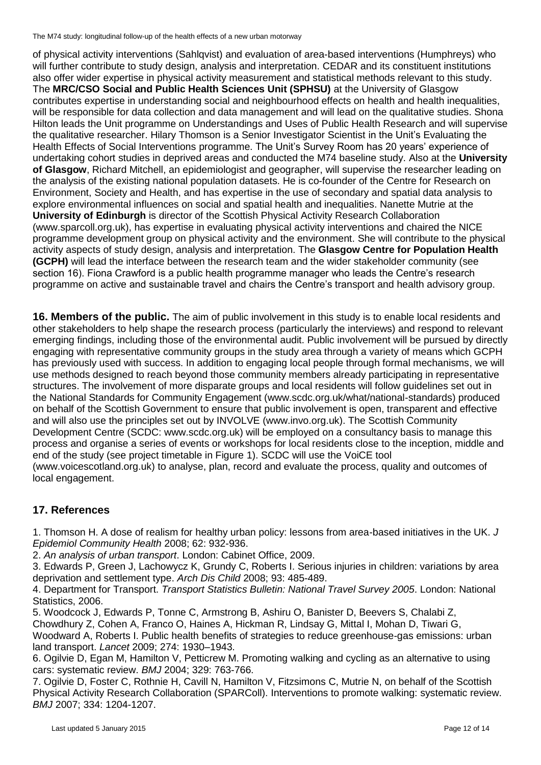of physical activity interventions (Sahlqvist) and evaluation of area-based interventions (Humphreys) who will further contribute to study design, analysis and interpretation. CEDAR and its constituent institutions also offer wider expertise in physical activity measurement and statistical methods relevant to this study. The **MRC/CSO Social and Public Health Sciences Unit (SPHSU)** at the University of Glasgow contributes expertise in understanding social and neighbourhood effects on health and health inequalities, will be responsible for data collection and data management and will lead on the qualitative studies. Shona Hilton leads the Unit programme on [Understandings and Uses of Public Health Research](http://www.sphsu.mrc.ac.uk/research-programmes/) and will supervise the qualitative researcher. Hilary Thomson is a Senior Investigator Scientist in the Unit's [Evaluating the](http://www.sphsu.mrc.ac.uk/research-programmes/ev/)  [Health Effects of Social Interventions](http://www.sphsu.mrc.ac.uk/research-programmes/ev/) programme. The Unit's Survey Room has 20 years' experience of undertaking cohort studies in deprived areas and conducted the M74 baseline study. Also at the **University of Glasgow**, Richard Mitchell, an epidemiologist and geographer, will supervise the researcher leading on the analysis of the existing national population datasets. He is co-founder of the Centre for Research on Environment, Society and Health, and has expertise in the use of secondary and spatial data analysis to explore environmental influences on social and spatial health and inequalities. Nanette Mutrie at the **University of Edinburgh** is director of the Scottish Physical Activity Research Collaboration (www.sparcoll.org.uk), has expertise in evaluating physical activity interventions and chaired the NICE programme development group on physical activity and the environment. She will contribute to the physical activity aspects of study design, analysis and interpretation. The **Glasgow Centre for Population Health (GCPH)** will lead the interface between the research team and the wider stakeholder community (see section 16). Fiona Crawford is a public health programme manager who leads the Centre's research programme on active and sustainable travel and chairs the Centre's transport and health advisory group.

**16. Members of the public.** The aim of public involvement in this study is to enable local residents and other stakeholders to help shape the research process (particularly the interviews) and respond to relevant emerging findings, including those of the environmental audit. Public involvement will be pursued by directly engaging with representative community groups in the study area through a variety of means which GCPH has previously used with success. In addition to engaging local people through formal mechanisms, we will use methods designed to reach beyond those community members already participating in representative structures. The involvement of more disparate groups and local residents will follow guidelines set out in the National Standards for Community Engagement (www.scdc.org.uk/what/national-standards) produced on behalf of the Scottish Government to ensure that public involvement is open, transparent and effective and will also use the principles set out by INVOLVE (www.invo.org.uk). The Scottish Community Development Centre (SCDC: www.scdc.org.uk) will be employed on a consultancy basis to manage this process and organise a series of events or workshops for local residents close to the inception, middle and end of the study (see project timetable in Figure 1). SCDC will use the VoiCE tool (www.voicescotland.org.uk) to analyse, plan, record and evaluate the process, quality and outcomes of local engagement.

# **17. References**

1. Thomson H. A dose of realism for healthy urban policy: lessons from area-based initiatives in the UK. *J Epidemiol Community Health* 2008; 62: 932-936.

2. *An analysis of urban transport*. London: Cabinet Office, 2009.

3. Edwards P, Green J, Lachowycz K, Grundy C, Roberts I. Serious injuries in children: variations by area deprivation and settlement type. *Arch Dis Child* 2008; 93: 485-489.

4. Department for Transport. *Transport Statistics Bulletin: National Travel Survey 2005*. London: National Statistics, 2006.

5. Woodcock J, Edwards P, Tonne C, Armstrong B, Ashiru O, Banister D, Beevers S, Chalabi Z, Chowdhury Z, Cohen A, Franco O, Haines A, Hickman R, Lindsay G, Mittal I, Mohan D, Tiwari G, Woodward A, Roberts I. Public health benefits of strategies to reduce greenhouse-gas emissions: urban land transport. *Lancet* 2009; 274: 1930–1943.

6. Ogilvie D, Egan M, Hamilton V, Petticrew M. Promoting walking and cycling as an alternative to using cars: systematic review. *BMJ* 2004; 329: 763-766.

7. Ogilvie D, Foster C, Rothnie H, Cavill N, Hamilton V, Fitzsimons C, Mutrie N, on behalf of the Scottish Physical Activity Research Collaboration (SPARColl). Interventions to promote walking: systematic review. *BMJ* 2007; 334: 1204-1207.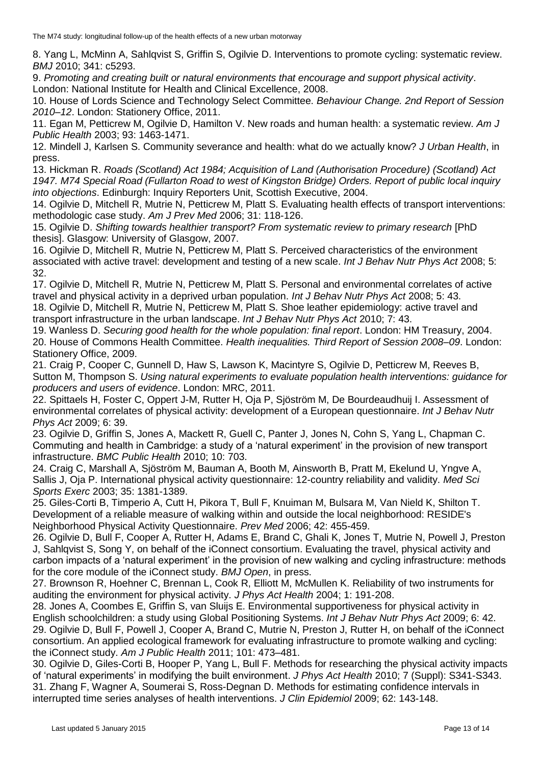8. Yang L, McMinn A, Sahlqvist S, Griffin S, Ogilvie D. Interventions to promote cycling: systematic review. *BMJ* 2010; 341: c5293.

9. *Promoting and creating built or natural environments that encourage and support physical activity*. London: National Institute for Health and Clinical Excellence, 2008.

10. House of Lords Science and Technology Select Committee. *Behaviour Change. 2nd Report of Session 2010–12*. London: Stationery Office, 2011.

11. Egan M, Petticrew M, Ogilvie D, Hamilton V. New roads and human health: a systematic review. *Am J Public Health* 2003; 93: 1463-1471.

12. Mindell J, Karlsen S. Community severance and health: what do we actually know? *J Urban Health*, in press.

13. Hickman R. *Roads (Scotland) Act 1984; Acquisition of Land (Authorisation Procedure) (Scotland) Act 1947. M74 Special Road (Fullarton Road to west of Kingston Bridge) Orders. Report of public local inquiry into objections*. Edinburgh: Inquiry Reporters Unit, Scottish Executive, 2004.

14. Ogilvie D, Mitchell R, Mutrie N, Petticrew M, Platt S. Evaluating health effects of transport interventions: methodologic case study. *Am J Prev Med* 2006; 31: 118-126.

15. Ogilvie D. *Shifting towards healthier transport? From systematic review to primary research* [PhD thesis]. Glasgow: University of Glasgow, 2007.

16. Ogilvie D, Mitchell R, Mutrie N, Petticrew M, Platt S. Perceived characteristics of the environment associated with active travel: development and testing of a new scale. *Int J Behav Nutr Phys Act* 2008; 5: 32.

17. Ogilvie D, Mitchell R, Mutrie N, Petticrew M, Platt S. Personal and environmental correlates of active travel and physical activity in a deprived urban population. *Int J Behav Nutr Phys Act* 2008; 5: 43.

18. Ogilvie D, Mitchell R, Mutrie N, Petticrew M, Platt S. Shoe leather epidemiology: active travel and transport infrastructure in the urban landscape. *Int J Behav Nutr Phys Act* 2010; 7: 43.

19. Wanless D. *Securing good health for the whole population: final report*. London: HM Treasury, 2004. 20. House of Commons Health Committee. *Health inequalities. Third Report of Session 2008–09*. London: Stationery Office, 2009.

21. Craig P, Cooper C, Gunnell D, Haw S, Lawson K, Macintyre S, Ogilvie D, Petticrew M, Reeves B, Sutton M, Thompson S. *Using natural experiments to evaluate population health interventions: guidance for producers and users of evidence*. London: MRC, 2011.

22. Spittaels H, Foster C, Oppert J-M, Rutter H, Oja P, Sjöström M, De Bourdeaudhuij I. Assessment of environmental correlates of physical activity: development of a European questionnaire. *Int J Behav Nutr Phys Act* 2009; 6: 39.

23. Ogilvie D, Griffin S, Jones A, Mackett R, Guell C, Panter J, Jones N, Cohn S, Yang L, Chapman C. Commuting and health in Cambridge: a study of a 'natural experiment' in the provision of new transport infrastructure. *BMC Public Health* 2010; 10: 703.

24. Craig C, Marshall A, Sjöström M, Bauman A, Booth M, Ainsworth B, Pratt M, Ekelund U, Yngve A, Sallis J, Oja P. International physical activity questionnaire: 12-country reliability and validity. *Med Sci Sports Exerc* 2003; 35: 1381-1389.

25. Giles-Corti B, Timperio A, Cutt H, Pikora T, Bull F, Knuiman M, Bulsara M, Van Nield K, Shilton T. Development of a reliable measure of walking within and outside the local neighborhood: RESIDE's Neighborhood Physical Activity Questionnaire. *Prev Med* 2006; 42: 455-459.

26. Ogilvie D, Bull F, Cooper A, Rutter H, Adams E, Brand C, Ghali K, Jones T, Mutrie N, Powell J, Preston J, Sahlqvist S, Song Y, on behalf of the iConnect consortium. Evaluating the travel, physical activity and carbon impacts of a 'natural experiment' in the provision of new walking and cycling infrastructure: methods for the core module of the iConnect study. *BMJ Open*, in press.

27. Brownson R, Hoehner C, Brennan L, Cook R, Elliott M, McMullen K. Reliability of two instruments for auditing the environment for physical activity. *J Phys Act Health* 2004; 1: 191-208.

28. Jones A, Coombes E, Griffin S, van Sluijs E. Environmental supportiveness for physical activity in English schoolchildren: a study using Global Positioning Systems. *Int J Behav Nutr Phys Act* 2009; 6: 42. 29. Ogilvie D, Bull F, Powell J, Cooper A, Brand C, Mutrie N, Preston J, Rutter H, on behalf of the iConnect consortium. An applied ecological framework for evaluating infrastructure to promote walking and cycling: the iConnect study. *Am J Public Health* 2011; 101: 473–481.

30. Ogilvie D, Giles-Corti B, Hooper P, Yang L, Bull F. Methods for researching the physical activity impacts of 'natural experiments' in modifying the built environment. *J Phys Act Health* 2010; 7 (Suppl): S341-S343. 31. Zhang F, Wagner A, Soumerai S, Ross-Degnan D. Methods for estimating confidence intervals in interrupted time series analyses of health interventions. *J Clin Epidemiol* 2009; 62: 143-148.